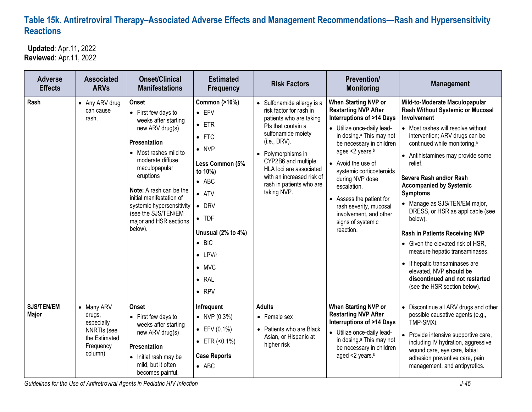## **Table 15k. Antiretroviral Therapy–Associated Adverse Effects and Management Recommendations—Rash and Hypersensitivity Reactions**

 **Updated**: Apr.11, 2022 **Reviewed**: Apr.11, 2022

| <b>Adverse</b><br><b>Effects</b> | <b>Associated</b><br><b>ARVs</b>                                                           | <b>Onset/Clinical</b><br><b>Manifestations</b>                                                                                                                                                                                                                                                                     | <b>Estimated</b><br><b>Frequency</b>                                                                                                                                                                                                                                                             | <b>Risk Factors</b>                                                                                                                                                                                                                                                                                     | <b>Prevention/</b><br><b>Monitoring</b>                                                                                                                                                                                                                                                                                                                                                                                           | <b>Management</b>                                                                                                                                                                                                                                                                                                                                                                                                                                                                                                                                                                                                                                                           |
|----------------------------------|--------------------------------------------------------------------------------------------|--------------------------------------------------------------------------------------------------------------------------------------------------------------------------------------------------------------------------------------------------------------------------------------------------------------------|--------------------------------------------------------------------------------------------------------------------------------------------------------------------------------------------------------------------------------------------------------------------------------------------------|---------------------------------------------------------------------------------------------------------------------------------------------------------------------------------------------------------------------------------------------------------------------------------------------------------|-----------------------------------------------------------------------------------------------------------------------------------------------------------------------------------------------------------------------------------------------------------------------------------------------------------------------------------------------------------------------------------------------------------------------------------|-----------------------------------------------------------------------------------------------------------------------------------------------------------------------------------------------------------------------------------------------------------------------------------------------------------------------------------------------------------------------------------------------------------------------------------------------------------------------------------------------------------------------------------------------------------------------------------------------------------------------------------------------------------------------------|
| Rash                             | • Any ARV drug<br>can cause<br>rash.                                                       | Onset<br>• First few days to<br>weeks after starting<br>new ARV drug(s)<br>Presentation<br>• Most rashes mild to<br>moderate diffuse<br>maculopapular<br>eruptions<br>Note: A rash can be the<br>initial manifestation of<br>systemic hypersensitivity<br>(see the SJS/TEN/EM<br>major and HSR sections<br>below). | Common (>10%)<br>$\bullet$ EFV<br>$\bullet$ ETR<br>$\bullet$ FTC<br>$\bullet$ NVP<br>Less Common (5%<br>to 10%)<br>$\bullet$ ABC<br>$\bullet$ ATV<br>$\bullet$ DRV<br>$\bullet$ TDF<br>Unusual (2% to 4%)<br>$\bullet$ BIC<br>$\bullet$ LPV/r<br>$\bullet$ MVC<br>$\bullet$ RAL<br>$\bullet$ RPV | • Sulfonamide allergy is a<br>risk factor for rash in<br>patients who are taking<br>Pls that contain a<br>sulfonamide moiety<br>(i.e., DRV).<br>Polymorphisms in<br>$\bullet$<br>CYP2B6 and multiple<br>HLA loci are associated<br>with an increased risk of<br>rash in patients who are<br>taking NVP. | When Starting NVP or<br><b>Restarting NVP After</b><br><b>Interruptions of &gt;14 Days</b><br>• Utilize once-daily lead-<br>in dosing. <sup>a</sup> This may not<br>be necessary in children<br>ages <2 years. <sup>b</sup><br>• Avoid the use of<br>systemic corticosteroids<br>during NVP dose<br>escalation.<br>• Assess the patient for<br>rash severity, mucosal<br>involvement, and other<br>signs of systemic<br>reaction. | Mild-to-Moderate Maculopapular<br><b>Rash Without Systemic or Mucosal</b><br>Involvement<br>• Most rashes will resolve without<br>intervention; ARV drugs can be<br>continued while monitoring. <sup>a</sup><br>• Antihistamines may provide some<br>relief.<br>Severe Rash and/or Rash<br><b>Accompanied by Systemic</b><br><b>Symptoms</b><br>• Manage as SJS/TEN/EM major,<br>DRESS, or HSR as applicable (see<br>below).<br><b>Rash in Patients Receiving NVP</b><br>• Given the elevated risk of HSR,<br>measure hepatic transaminases.<br>• If hepatic transaminases are<br>elevated, NVP should be<br>discontinued and not restarted<br>(see the HSR section below). |
| <b>SJS/TEN/EM</b><br>Major       | • Many ARV<br>drugs,<br>especially<br>NNRTIs (see<br>the Estimated<br>Frequency<br>column) | <b>Onset</b><br>• First few days to<br>weeks after starting<br>new ARV drug(s)<br>Presentation<br>• Initial rash may be<br>mild, but it often<br>becomes painful,                                                                                                                                                  | Infrequent<br>• NVP $(0.3\%)$<br>$\bullet$ EFV (0.1%)<br>$\bullet$ ETR (<0.1%)<br><b>Case Reports</b><br>$\bullet$ ABC                                                                                                                                                                           | <b>Adults</b><br>• Female sex<br>• Patients who are Black,<br>Asian, or Hispanic at<br>higher risk                                                                                                                                                                                                      | When Starting NVP or<br><b>Restarting NVP After</b><br><b>Interruptions of &gt;14 Days</b><br>• Utilize once-daily lead-<br>in dosing. <sup>a</sup> This may not<br>be necessary in children<br>aged <2 years. <sup>b</sup>                                                                                                                                                                                                       | • Discontinue all ARV drugs and other<br>possible causative agents (e.g.,<br>TMP-SMX).<br>• Provide intensive supportive care,<br>including IV hydration, aggressive<br>wound care, eye care, labial<br>adhesion preventive care, pain<br>management, and antipyretics.                                                                                                                                                                                                                                                                                                                                                                                                     |

*Guidelines for the Use of Antiretroviral Agents in Pediatric HIV Infection J-45*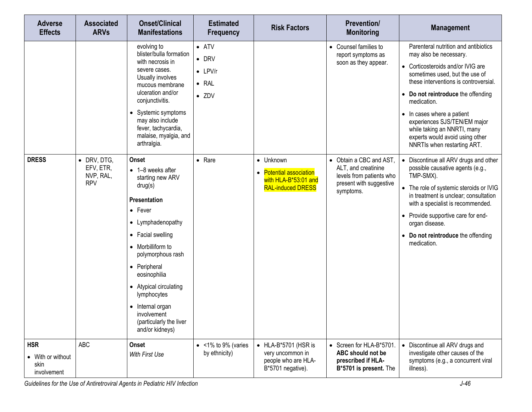| <b>Adverse</b><br><b>Effects</b>                       | <b>Associated</b><br><b>ARVs</b>                    | <b>Onset/Clinical</b><br><b>Manifestations</b>                                                                                                                                                                                                                                                                                                                   | <b>Estimated</b><br><b>Frequency</b>                                                | <b>Risk Factors</b>                                                                           | <b>Prevention/</b><br><b>Monitoring</b>                                                                            | <b>Management</b>                                                                                                                                                                                                                                                                                                                                                                                  |
|--------------------------------------------------------|-----------------------------------------------------|------------------------------------------------------------------------------------------------------------------------------------------------------------------------------------------------------------------------------------------------------------------------------------------------------------------------------------------------------------------|-------------------------------------------------------------------------------------|-----------------------------------------------------------------------------------------------|--------------------------------------------------------------------------------------------------------------------|----------------------------------------------------------------------------------------------------------------------------------------------------------------------------------------------------------------------------------------------------------------------------------------------------------------------------------------------------------------------------------------------------|
|                                                        |                                                     | evolving to<br>blister/bulla formation<br>with necrosis in<br>severe cases.<br>Usually involves<br>mucous membrane<br>ulceration and/or<br>conjunctivitis.<br>• Systemic symptoms<br>may also include<br>fever, tachycardia,<br>malaise, myalgia, and<br>arthralgia.                                                                                             | $\bullet$ ATV<br>$\bullet$ DRV<br>$\bullet$ LPV/r<br>$\bullet$ RAL<br>$\bullet$ ZDV |                                                                                               | • Counsel families to<br>report symptoms as<br>soon as they appear.                                                | Parenteral nutrition and antibiotics<br>may also be necessary.<br>• Corticosteroids and/or IVIG are<br>sometimes used, but the use of<br>these interventions is controversial.<br>• Do not reintroduce the offending<br>medication.<br>• In cases where a patient<br>experiences SJS/TEN/EM major<br>while taking an NNRTI, many<br>experts would avoid using other<br>NNRTIs when restarting ART. |
| <b>DRESS</b>                                           | • DRV, DTG,<br>EFV, ETR,<br>NVP, RAL,<br><b>RPV</b> | <b>Onset</b><br>$\bullet$ 1-8 weeks after<br>starting new ARV<br>drug(s)<br><b>Presentation</b><br>$\bullet$ Fever<br>• Lymphadenopathy<br>• Facial swelling<br>• Morbilliform to<br>polymorphous rash<br>• Peripheral<br>eosinophilia<br>• Atypical circulating<br>lymphocytes<br>• Internal organ<br>involvement<br>(particularly the liver<br>and/or kidneys) | $\bullet$ Rare                                                                      | • Unknown<br><b>Potential association</b><br>with HLA-B*53:01 and<br><b>RAL-induced DRESS</b> | • Obtain a CBC and AST,<br>ALT, and creatinine<br>levels from patients who<br>present with suggestive<br>symptoms. | • Discontinue all ARV drugs and other<br>possible causative agents (e.g.,<br>TMP-SMX).<br>The role of systemic steroids or IVIG<br>$\bullet$<br>in treatment is unclear; consultation<br>with a specialist is recommended.<br>• Provide supportive care for end-<br>organ disease.<br>• Do not reintroduce the offending<br>medication.                                                            |
| <b>HSR</b><br>• With or without<br>skin<br>involvement | <b>ABC</b>                                          | <b>Onset</b><br>With First Use                                                                                                                                                                                                                                                                                                                                   | $\bullet$ <1% to 9% (varies<br>by ethnicity)                                        | • HLA-B*5701 (HSR is<br>very uncommon in<br>people who are HLA-<br>B*5701 negative).          | • Screen for HLA-B*5701.<br>ABC should not be<br>prescribed if HLA-<br>B*5701 is present. The                      | • Discontinue all ARV drugs and<br>investigate other causes of the<br>symptoms (e.g., a concurrent viral<br>illness).                                                                                                                                                                                                                                                                              |

*Guidelines for the Use of Antiretroviral Agents in Pediatric HIV Infection J-46*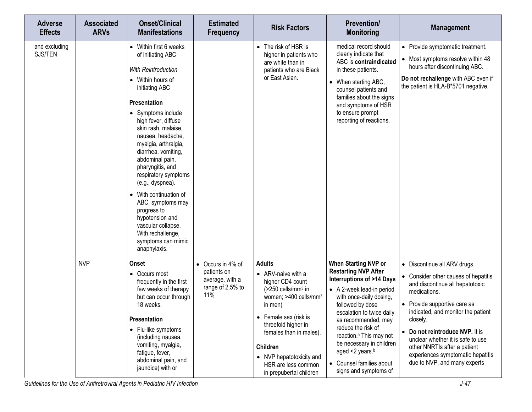| <b>Adverse</b><br><b>Effects</b> | <b>Associated</b><br><b>ARVs</b> | <b>Onset/Clinical</b><br><b>Manifestations</b>                                                                                                                                                                                                                                                                                                                                                                                                                                                                                | <b>Estimated</b><br><b>Frequency</b>                                           | <b>Risk Factors</b>                                                                                                                                                                                                                                                                                               | <b>Prevention/</b><br><b>Monitoring</b>                                                                                                                                                                                                                                                                                                                                                                 | <b>Management</b>                                                                                                                                                                                                                                                                                                                                                                      |
|----------------------------------|----------------------------------|-------------------------------------------------------------------------------------------------------------------------------------------------------------------------------------------------------------------------------------------------------------------------------------------------------------------------------------------------------------------------------------------------------------------------------------------------------------------------------------------------------------------------------|--------------------------------------------------------------------------------|-------------------------------------------------------------------------------------------------------------------------------------------------------------------------------------------------------------------------------------------------------------------------------------------------------------------|---------------------------------------------------------------------------------------------------------------------------------------------------------------------------------------------------------------------------------------------------------------------------------------------------------------------------------------------------------------------------------------------------------|----------------------------------------------------------------------------------------------------------------------------------------------------------------------------------------------------------------------------------------------------------------------------------------------------------------------------------------------------------------------------------------|
| and excluding<br>SJS/TEN         |                                  | • Within first 6 weeks<br>of initiating ABC<br><b>With Reintroduction</b><br>• Within hours of<br>initiating ABC<br>Presentation<br>• Symptoms include<br>high fever, diffuse<br>skin rash, malaise,<br>nausea, headache,<br>myalgia, arthralgia,<br>diarrhea, vomiting,<br>abdominal pain,<br>pharyngitis, and<br>respiratory symptoms<br>(e.g., dyspnea).<br>• With continuation of<br>ABC, symptoms may<br>progress to<br>hypotension and<br>vascular collapse.<br>With rechallenge,<br>symptoms can mimic<br>anaphylaxis. |                                                                                | • The risk of HSR is<br>higher in patients who<br>are white than in<br>patients who are Black<br>or East Asian.                                                                                                                                                                                                   | medical record should<br>clearly indicate that<br>ABC is contraindicated<br>in these patients.<br>• When starting ABC,<br>counsel patients and<br>families about the signs<br>and symptoms of HSR<br>to ensure prompt<br>reporting of reactions.                                                                                                                                                        | • Provide symptomatic treatment.<br>• Most symptoms resolve within 48<br>hours after discontinuing ABC.<br>Do not rechallenge with ABC even if<br>the patient is HLA-B*5701 negative.                                                                                                                                                                                                  |
|                                  | <b>NVP</b>                       | <b>Onset</b><br>• Occurs most<br>frequently in the first<br>few weeks of therapy<br>but can occur through<br>18 weeks.<br><b>Presentation</b><br>• Flu-like symptoms<br>(including nausea,<br>vomiting, myalgia,<br>fatigue, fever,<br>abdominal pain, and<br>jaundice) with or                                                                                                                                                                                                                                               | • Occurs in 4% of<br>patients on<br>average, with a<br>range of 2.5% to<br>11% | <b>Adults</b><br>• ARV-naive with a<br>higher CD4 count<br>$($ >250 cells/mm <sup>3</sup> in<br>women; >400 cells/mm <sup>3</sup><br>in men)<br>• Female sex (risk is<br>threefold higher in<br>females than in males).<br>Children<br>• NVP hepatotoxicity and<br>HSR are less common<br>in prepubertal children | When Starting NVP or<br><b>Restarting NVP After</b><br><b>Interruptions of &gt;14 Days</b><br>• A 2-week lead-in period<br>with once-daily dosing,<br>followed by dose<br>escalation to twice daily<br>as recommended, may<br>reduce the risk of<br>reaction. <sup>a</sup> This may not<br>be necessary in children<br>aged <2 years. <sup>b</sup><br>• Counsel families about<br>signs and symptoms of | • Discontinue all ARV drugs.<br>• Consider other causes of hepatitis<br>and discontinue all hepatotoxic<br>medications.<br>• Provide supportive care as<br>indicated, and monitor the patient<br>closely.<br>• Do not reintroduce NVP. It is<br>unclear whether it is safe to use<br>other NNRTIs after a patient<br>experiences symptomatic hepatitis<br>due to NVP, and many experts |

*Guidelines for the Use of Antiretroviral Agents in Pediatric HIV Infection J-47*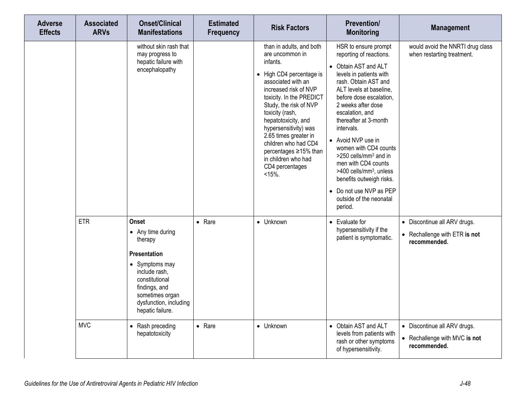| <b>Adverse</b><br><b>Effects</b> | <b>Associated</b><br><b>ARVs</b> | <b>Onset/Clinical</b><br><b>Manifestations</b>                                                                                                                                                      | <b>Estimated</b><br><b>Frequency</b> | <b>Risk Factors</b>                                                                                                                                                                                                                                                                                                                                                                          | <b>Prevention/</b><br><b>Monitoring</b>                                                                                                                                                                                                                                                                                                                                                                                                                                                                                             | <b>Management</b>                                                             |
|----------------------------------|----------------------------------|-----------------------------------------------------------------------------------------------------------------------------------------------------------------------------------------------------|--------------------------------------|----------------------------------------------------------------------------------------------------------------------------------------------------------------------------------------------------------------------------------------------------------------------------------------------------------------------------------------------------------------------------------------------|-------------------------------------------------------------------------------------------------------------------------------------------------------------------------------------------------------------------------------------------------------------------------------------------------------------------------------------------------------------------------------------------------------------------------------------------------------------------------------------------------------------------------------------|-------------------------------------------------------------------------------|
|                                  |                                  | without skin rash that<br>may progress to<br>hepatic failure with<br>encephalopathy                                                                                                                 |                                      | than in adults, and both<br>are uncommon in<br>infants.<br>• High CD4 percentage is<br>associated with an<br>increased risk of NVP<br>toxicity. In the PREDICT<br>Study, the risk of NVP<br>toxicity (rash,<br>hepatotoxicity, and<br>hypersensitivity) was<br>2.65 times greater in<br>children who had CD4<br>percentages ≥15% than<br>in children who had<br>CD4 percentages<br>$< 15%$ . | HSR to ensure prompt<br>reporting of reactions.<br>Obtain AST and ALT<br>$\bullet$<br>levels in patients with<br>rash. Obtain AST and<br>ALT levels at baseline,<br>before dose escalation,<br>2 weeks after dose<br>escalation, and<br>thereafter at 3-month<br>intervals.<br>Avoid NVP use in<br>$\bullet$<br>women with CD4 counts<br>>250 cells/mm <sup>3</sup> and in<br>men with CD4 counts<br>>400 cells/mm <sup>3</sup> , unless<br>benefits outweigh risks.<br>Do not use NVP as PEP<br>outside of the neonatal<br>period. | would avoid the NNRTI drug class<br>when restarting treatment.                |
|                                  | <b>ETR</b>                       | Onset<br>• Any time during<br>therapy<br><b>Presentation</b><br>• Symptoms may<br>include rash,<br>constitutional<br>findings, and<br>sometimes organ<br>dysfunction, including<br>hepatic failure. | $\bullet$ Rare                       | • Unknown                                                                                                                                                                                                                                                                                                                                                                                    | Evaluate for<br>$\bullet$<br>hypersensitivity if the<br>patient is symptomatic.                                                                                                                                                                                                                                                                                                                                                                                                                                                     | • Discontinue all ARV drugs.<br>• Rechallenge with ETR is not<br>recommended. |
|                                  | <b>MVC</b>                       | • Rash preceding<br>hepatotoxicity                                                                                                                                                                  | $\bullet$ Rare                       | • Unknown                                                                                                                                                                                                                                                                                                                                                                                    | Obtain AST and ALT<br>$\bullet$<br>levels from patients with<br>rash or other symptoms<br>of hypersensitivity.                                                                                                                                                                                                                                                                                                                                                                                                                      | • Discontinue all ARV drugs.<br>• Rechallenge with MVC is not<br>recommended. |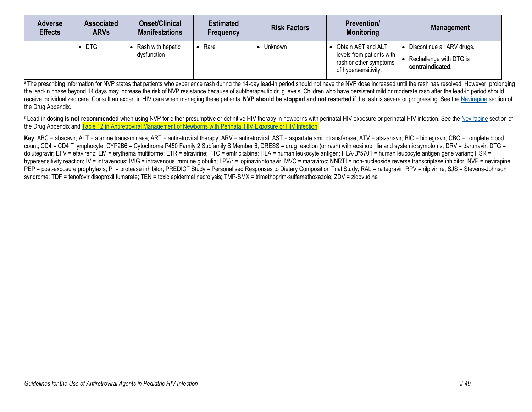| <b>Adverse</b><br><b>Effects</b> | <b>Associated</b><br><b>ARVs</b> | Onset/Clinical<br><b>Manifestations</b> | <b>Estimated</b><br><b>Frequency</b> | <b>Risk Factors</b> | <b>Prevention/</b><br><b>Monitoring</b>                                                           | <b>Management</b>                                                         |
|----------------------------------|----------------------------------|-----------------------------------------|--------------------------------------|---------------------|---------------------------------------------------------------------------------------------------|---------------------------------------------------------------------------|
|                                  | DTG                              | Rash with hepatic<br>dysfunction        | Rare                                 | <b>Unknown</b>      | Obtain AST and ALT<br>levels from patients with<br>rash or other symptoms<br>of hypersensitivity. | Discontinue all ARV drugs.<br>Rechallenge with DTG is<br>contraindicated. |

<sup>a</sup> The prescribing information for NVP states that patients who experience rash during the 14-day lead-in period should not have the NVP dose increased until the rash has resolved. However, prolonging the lead-in phase beyond 14 days may increase the risk of NVP resistance because of subtherapeutic drug levels. Children who have persistent mild or moderate rash after the lead-in period should receive individualized care. Consult an expert in HIV care when managing these patients. **NVP should be stopped and not restarted** if the rash is severe or progressing. See the [Nevirapine](https://clinicalinfo.hiv.gov/en/guidelines/pediatric-arv/nevirapine) section of the Drug Appendix.

**b** Lead-in dosing is not recommended when using NVP for either presumptive or definitive HIV therapy in newborns with perinatal HIV exposure or perinatal HIV infection. See the [Nevirapine](https://clinicalinfo.hiv.gov/en/guidelines/pediatric-arv/nevirapine) section of the Drug Appendix and [Table 12 in Antiretroviral Management of Newborns with Perinatal HIV Exposure or HIV Infection.](https://clinicalinfo.hiv.gov/en/guidelines/pediatric-arv/antiretroviral-management-newborns-perinatal-hiv-exposure-or-hiv-infection)

**Key**: ABC = abacavir; ALT = alanine transaminase; ART = antiretroviral therapy; ARV = antiretroviral; AST = aspartate aminotransferase; ATV = atazanavir; BIC = bictegravir; CBC = complete blood count; CD4 = CD4 T lymphocyte; CYP2B6 = Cytochrome P450 Family 2 Subfamily B Member 6; DRESS = drug reaction (or rash) with eosinophilia and systemic symptoms; DRV = darunavir; DTG = dolutegravir; EFV = efavirenz; EM = erythema multiforme; ETR = etravirine; FTC = emtricitabine; HLA = human leukocyte antigen; HLA-B\*5701 = human leucocyte antigen gene variant; HSR = hypersensitivity reaction; IV = intravenous; IVIG = intravenous immune globulin; LPV/r = lopinavir/ritonavir; MVC = maraviroc; NNRTI = non-nucleoside reverse transcriptase inhibitor; NVP = nevirapine; PEP = post-exposure prophylaxis; PI = protease inhibitor; PREDICT Study = Personalised Responses to Dietary Composition Trial Study; RAL = raltegravir; RPV = rilpivirine; SJS = Stevens-Johnson syndrome; TDF = tenofovir disoproxil fumarate; TEN = toxic epidermal necrolysis; TMP-SMX = trimethoprim-sulfamethoxazole; ZDV = zidovudine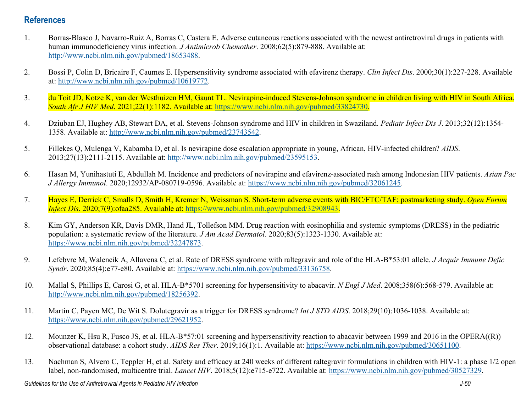## **References**

- 1. Borras-Blasco J, Navarro-Ruiz A, Borras C, Castera E. Adverse cutaneous reactions associated with the newest antiretroviral drugs in patients with human immunodeficiency virus infection. *J Antimicrob Chemother*. 2008;62(5):879-888. Available at: [http://www.ncbi.nlm.nih.gov/pubmed/18653488.](http://www.ncbi.nlm.nih.gov/pubmed/18653488)
- 2. Bossi P, Colin D, Bricaire F, Caumes E. Hypersensitivity syndrome associated with efavirenz therapy. *Clin Infect Dis*. 2000;30(1):227-228. Available at: [http://www.ncbi.nlm.nih.gov/pubmed/10619772.](http://www.ncbi.nlm.nih.gov/pubmed/10619772)
- 3. du Toit JD, Kotze K, van der Westhuizen HM, Gaunt TL. Nevirapine-induced Stevens-Johnson syndrome in children living with HIV in South Africa. *South Afr J HIV Med*. 2021;22(1):1182. Available at: [https://www.ncbi.nlm.nih.gov/pubmed/33824730.](https://www.ncbi.nlm.nih.gov/pubmed/33824730)
- 4. Dziuban EJ, Hughey AB, Stewart DA, et al. Stevens-Johnson syndrome and HIV in children in Swaziland. *Pediatr Infect Dis J*. 2013;32(12):1354- 1358. Available at: [http://www.ncbi.nlm.nih.gov/pubmed/23743542.](http://www.ncbi.nlm.nih.gov/pubmed/23743542)
- 5. Fillekes Q, Mulenga V, Kabamba D, et al. Is nevirapine dose escalation appropriate in young, African, HIV-infected children? *AIDS*. 2013;27(13):2111-2115. Available at: [http://www.ncbi.nlm.nih.gov/pubmed/23595153.](http://www.ncbi.nlm.nih.gov/pubmed/23595153)
- 6. Hasan M, Yunihastuti E, Abdullah M. Incidence and predictors of nevirapine and efavirenz-associated rash among Indonesian HIV patients. *Asian Pac J Allergy Immunol*. 2020;12932/AP-080719-0596. Available at: [https://www.ncbi.nlm.nih.gov/pubmed/32061245.](https://www.ncbi.nlm.nih.gov/pubmed/32061245)
- 7. Hayes E, Derrick C, Smalls D, Smith H, Kremer N, Weissman S. Short-term adverse events with BIC/FTC/TAF: postmarketing study. *Open Forum Infect Dis*. 2020;7(9):ofaa285. Available at: [https://www.ncbi.nlm.nih.gov/pubmed/32908943.](https://www.ncbi.nlm.nih.gov/pubmed/32908943)
- 8. Kim GY, Anderson KR, Davis DMR, Hand JL, Tollefson MM. Drug reaction with eosinophilia and systemic symptoms (DRESS) in the pediatric population: a systematic review of the literature. *J Am Acad Dermatol*. 2020;83(5):1323-1330. Available at: [https://www.ncbi.nlm.nih.gov/pubmed/32247873.](https://www.ncbi.nlm.nih.gov/pubmed/32247873)
- 9. Lefebvre M, Walencik A, Allavena C, et al. Rate of DRESS syndrome with raltegravir and role of the HLA-B\*53:01 allele. *J Acquir Immune Defic Syndr*. 2020;85(4):e77-e80. Available at: [https://www.ncbi.nlm.nih.gov/pubmed/33136758.](https://www.ncbi.nlm.nih.gov/pubmed/33136758)
- 10. Mallal S, Phillips E, Carosi G, et al. HLA-B\*5701 screening for hypersensitivity to abacavir. *N Engl J Med*. 2008;358(6):568-579. Available at: [http://www.ncbi.nlm.nih.gov/pubmed/18256392.](http://www.ncbi.nlm.nih.gov/pubmed/18256392)
- 11. Martin C, Payen MC, De Wit S. Dolutegravir as a trigger for DRESS syndrome? *Int J STD AIDS*. 2018;29(10):1036-1038. Available at: [https://www.ncbi.nlm.nih.gov/pubmed/29621952.](https://www.ncbi.nlm.nih.gov/pubmed/29621952)
- 12. Mounzer K, Hsu R, Fusco JS, et al. HLA-B\*57:01 screening and hypersensitivity reaction to abacavir between 1999 and 2016 in the OPERA((R)) observational database: a cohort study. *AIDS Res Ther*. 2019;16(1):1. Available at: [https://www.ncbi.nlm.nih.gov/pubmed/30651100.](https://www.ncbi.nlm.nih.gov/pubmed/30651100)
- 13. Nachman S, Alvero C, Teppler H, et al. Safety and efficacy at 240 weeks of different raltegravir formulations in children with HIV-1: a phase 1/2 open label, non-randomised, multicentre trial. *Lancet HIV*. 2018;5(12):e715-e722. Available at: [https://www.ncbi.nlm.nih.gov/pubmed/30527329.](https://www.ncbi.nlm.nih.gov/pubmed/30527329)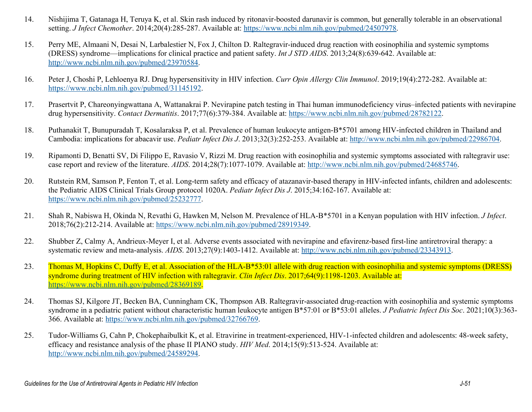- 14. Nishijima T, Gatanaga H, Teruya K, et al. Skin rash induced by ritonavir-boosted darunavir is common, but generally tolerable in an observational setting. *J Infect Chemother*. 2014;20(4):285-287. Available at: [https://www.ncbi.nlm.nih.gov/pubmed/24507978.](https://www.ncbi.nlm.nih.gov/pubmed/24507978)
- 15. Perry ME, Almaani N, Desai N, Larbalestier N, Fox J, Chilton D. Raltegravir-induced drug reaction with eosinophilia and systemic symptoms (DRESS) syndrome—implications for clinical practice and patient safety. *Int J STD AIDS*. 2013;24(8):639-642. Available at: [http://www.ncbi.nlm.nih.gov/pubmed/23970584.](http://www.ncbi.nlm.nih.gov/pubmed/23970584)
- 16. Peter J, Choshi P, Lehloenya RJ. Drug hypersensitivity in HIV infection. *Curr Opin Allergy Clin Immunol*. 2019;19(4):272-282. Available at: [https://www.ncbi.nlm.nih.gov/pubmed/31145192.](https://www.ncbi.nlm.nih.gov/pubmed/31145192)
- 17. Prasertvit P, Chareonyingwattana A, Wattanakrai P. Nevirapine patch testing in Thai human immunodeficiency virus–infected patients with nevirapine drug hypersensitivity. *Contact Dermatitis*. 2017;77(6):379-384. Available at[: https://www.ncbi.nlm.nih.gov/pubmed/28782122.](https://www.ncbi.nlm.nih.gov/pubmed/28782122)
- 18. Puthanakit T, Bunupuradah T, Kosalaraksa P, et al. Prevalence of human leukocyte antigen-B\*5701 among HIV-infected children in Thailand and Cambodia: implications for abacavir use. *Pediatr Infect Dis J*. 2013;32(3):252-253. Available at: [http://www.ncbi.nlm.nih.gov/pubmed/22986704.](http://www.ncbi.nlm.nih.gov/pubmed/22986704)
- 19. Ripamonti D, Benatti SV, Di Filippo E, Ravasio V, Rizzi M. Drug reaction with eosinophilia and systemic symptoms associated with raltegravir use: case report and review of the literature. *AIDS*. 2014;28(7):1077-1079. Available at: [http://www.ncbi.nlm.nih.gov/pubmed/24685746.](http://www.ncbi.nlm.nih.gov/pubmed/24685746)
- 20. Rutstein RM, Samson P, Fenton T, et al. Long-term safety and efficacy of atazanavir-based therapy in HIV-infected infants, children and adolescents: the Pediatric AIDS Clinical Trials Group protocol 1020A. *Pediatr Infect Dis J*. 2015;34:162-167. Available at: [https://www.ncbi.nlm.nih.gov/pubmed/25232777.](https://www.ncbi.nlm.nih.gov/pubmed/25232777)
- 21. Shah R, Nabiswa H, Okinda N, Revathi G, Hawken M, Nelson M. Prevalence of HLA-B\*5701 in a Kenyan population with HIV infection. *J Infect*. 2018;76(2):212-214. Available at: [https://www.ncbi.nlm.nih.gov/pubmed/28919349.](https://www.ncbi.nlm.nih.gov/pubmed/28919349)
- 22. Shubber Z, Calmy A, Andrieux-Meyer I, et al. Adverse events associated with nevirapine and efavirenz-based first-line antiretroviral therapy: a systematic review and meta-analysis. *AIDS*. 2013;27(9):1403-1412. Available at: [http://www.ncbi.nlm.nih.gov/pubmed/23343913.](http://www.ncbi.nlm.nih.gov/pubmed/23343913)
- 23. Thomas M, Hopkins C, Duffy E, et al. Association of the HLA-B\*53:01 allele with drug reaction with eosinophilia and systemic symptoms (DRESS) syndrome during treatment of HIV infection with raltegravir. *Clin Infect Dis*. 2017;64(9):1198-1203. Available at: [https://www.ncbi.nlm.nih.gov/pubmed/28369189.](https://www.ncbi.nlm.nih.gov/pubmed/28369189)
- 24. Thomas SJ, Kilgore JT, Becken BA, Cunningham CK, Thompson AB. Raltegravir-associated drug-reaction with eosinophilia and systemic symptoms syndrome in a pediatric patient without characteristic human leukocyte antigen B\*57:01 or B\*53:01 alleles. *J Pediatric Infect Dis Soc*. 2021;10(3):363- 366. Available at: [https://www.ncbi.nlm.nih.gov/pubmed/32766769.](https://www.ncbi.nlm.nih.gov/pubmed/32766769)
- 25. Tudor-Williams G, Cahn P, Chokephaibulkit K, et al. Etravirine in treatment-experienced, HIV-1-infected children and adolescents: 48-week safety, efficacy and resistance analysis of the phase II PIANO study. *HIV Med*. 2014;15(9):513-524. Available at: [http://www.ncbi.nlm.nih.gov/pubmed/24589294.](http://www.ncbi.nlm.nih.gov/pubmed/24589294)